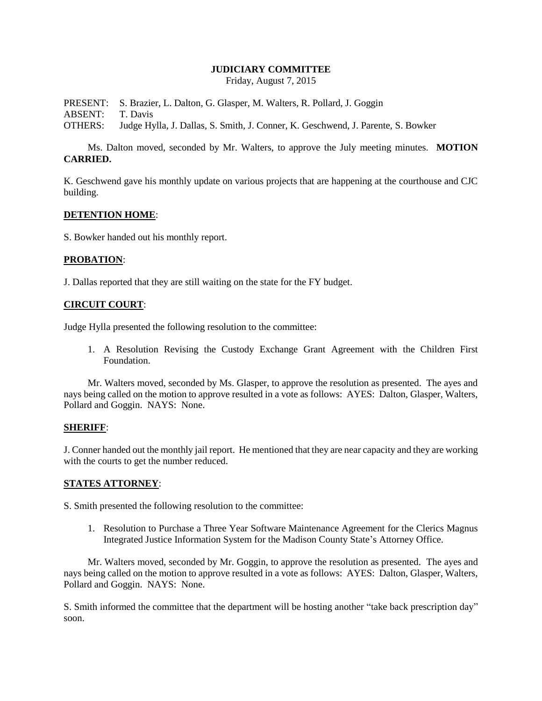## **JUDICIARY COMMITTEE**

Friday, August 7, 2015

PRESENT: S. Brazier, L. Dalton, G. Glasper, M. Walters, R. Pollard, J. Goggin ABSENT: T. Davis OTHERS: Judge Hylla, J. Dallas, S. Smith, J. Conner, K. Geschwend, J. Parente, S. Bowker

Ms. Dalton moved, seconded by Mr. Walters, to approve the July meeting minutes. **MOTION CARRIED.**

K. Geschwend gave his monthly update on various projects that are happening at the courthouse and CJC building.

#### **DETENTION HOME**:

S. Bowker handed out his monthly report.

### **PROBATION**:

J. Dallas reported that they are still waiting on the state for the FY budget.

### **CIRCUIT COURT**:

Judge Hylla presented the following resolution to the committee:

1. A Resolution Revising the Custody Exchange Grant Agreement with the Children First Foundation.

Mr. Walters moved, seconded by Ms. Glasper, to approve the resolution as presented. The ayes and nays being called on the motion to approve resulted in a vote as follows: AYES: Dalton, Glasper, Walters, Pollard and Goggin. NAYS: None.

# **SHERIFF**:

J. Conner handed out the monthly jail report. He mentioned that they are near capacity and they are working with the courts to get the number reduced.

#### **STATES ATTORNEY**:

S. Smith presented the following resolution to the committee:

1. Resolution to Purchase a Three Year Software Maintenance Agreement for the Clerics Magnus Integrated Justice Information System for the Madison County State's Attorney Office.

Mr. Walters moved, seconded by Mr. Goggin, to approve the resolution as presented. The ayes and nays being called on the motion to approve resulted in a vote as follows: AYES: Dalton, Glasper, Walters, Pollard and Goggin. NAYS: None.

S. Smith informed the committee that the department will be hosting another "take back prescription day" soon.